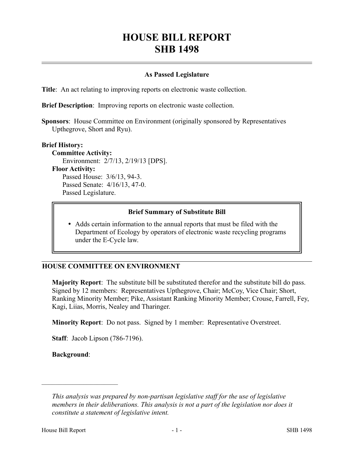# **HOUSE BILL REPORT SHB 1498**

#### **As Passed Legislature**

**Title**: An act relating to improving reports on electronic waste collection.

**Brief Description**: Improving reports on electronic waste collection.

**Sponsors**: House Committee on Environment (originally sponsored by Representatives Upthegrove, Short and Ryu).

#### **Brief History:**

**Committee Activity:** Environment: 2/7/13, 2/19/13 [DPS]. **Floor Activity:** Passed House: 3/6/13, 94-3. Passed Senate: 4/16/13, 47-0. Passed Legislature.

### **Brief Summary of Substitute Bill**

 Adds certain information to the annual reports that must be filed with the Department of Ecology by operators of electronic waste recycling programs under the E-Cycle law.

### **HOUSE COMMITTEE ON ENVIRONMENT**

**Majority Report**: The substitute bill be substituted therefor and the substitute bill do pass. Signed by 12 members: Representatives Upthegrove, Chair; McCoy, Vice Chair; Short, Ranking Minority Member; Pike, Assistant Ranking Minority Member; Crouse, Farrell, Fey, Kagi, Liias, Morris, Nealey and Tharinger.

**Minority Report**: Do not pass. Signed by 1 member: Representative Overstreet.

**Staff**: Jacob Lipson (786-7196).

**Background**:

––––––––––––––––––––––

*This analysis was prepared by non-partisan legislative staff for the use of legislative members in their deliberations. This analysis is not a part of the legislation nor does it constitute a statement of legislative intent.*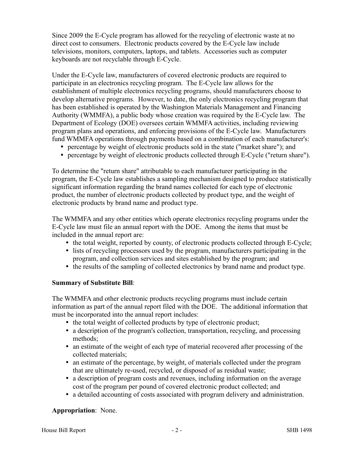Since 2009 the E-Cycle program has allowed for the recycling of electronic waste at no direct cost to consumers. Electronic products covered by the E-Cycle law include televisions, monitors, computers, laptops, and tablets. Accessories such as computer keyboards are not recyclable through E-Cycle.

Under the E-Cycle law, manufacturers of covered electronic products are required to participate in an electronics recycling program. The E-Cycle law allows for the establishment of multiple electronics recycling programs, should manufacturers choose to develop alternative programs. However, to date, the only electronics recycling program that has been established is operated by the Washington Materials Management and Financing Authority (WMMFA), a public body whose creation was required by the E-Cycle law. The Department of Ecology (DOE) oversees certain WMMFA activities, including reviewing program plans and operations, and enforcing provisions of the E-Cycle law. Manufacturers fund WMMFA operations through payments based on a combination of each manufacturer's:

- percentage by weight of electronic products sold in the state ("market share"); and
- percentage by weight of electronic products collected through E-Cycle ("return share").

To determine the "return share" attributable to each manufacturer participating in the program, the E-Cycle law establishes a sampling mechanism designed to produce statistically significant information regarding the brand names collected for each type of electronic product, the number of electronic products collected by product type, and the weight of electronic products by brand name and product type.

The WMMFA and any other entities which operate electronics recycling programs under the E-Cycle law must file an annual report with the DOE. Among the items that must be included in the annual report are:

- the total weight, reported by county, of electronic products collected through E-Cycle;
- lists of recycling processors used by the program, manufacturers participating in the program, and collection services and sites established by the program; and
- the results of the sampling of collected electronics by brand name and product type.

### **Summary of Substitute Bill**:

The WMMFA and other electronic products recycling programs must include certain information as part of the annual report filed with the DOE. The additional information that must be incorporated into the annual report includes:

- the total weight of collected products by type of electronic product;
- a description of the program's collection, transportation, recycling, and processing methods;
- an estimate of the weight of each type of material recovered after processing of the collected materials;
- an estimate of the percentage, by weight, of materials collected under the program that are ultimately re-used, recycled, or disposed of as residual waste;
- a description of program costs and revenues, including information on the average cost of the program per pound of covered electronic product collected; and
- a detailed accounting of costs associated with program delivery and administration.

## **Appropriation**: None.